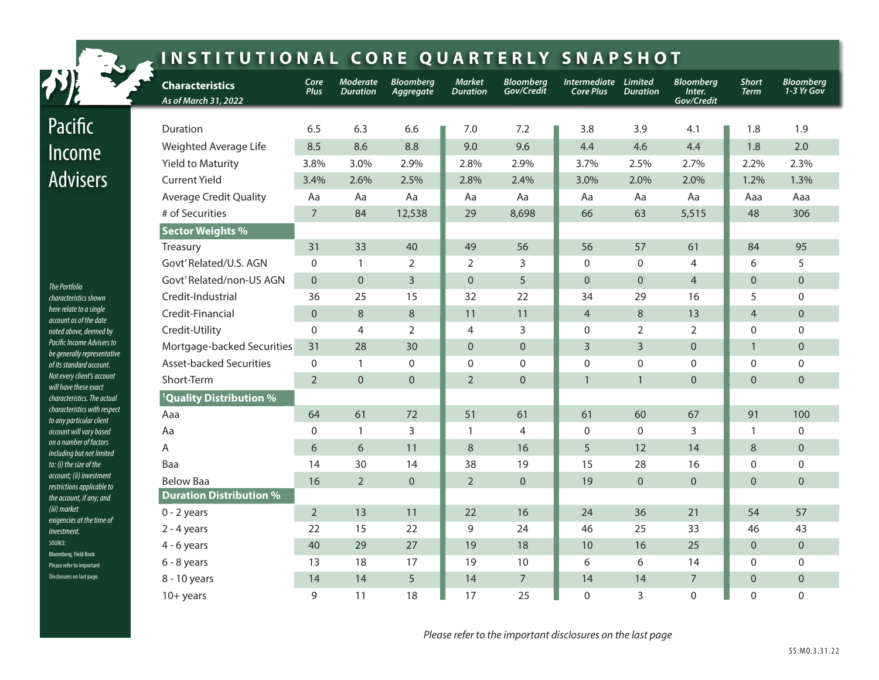| INSTITUTIONAL CORE QUARTERLY SNAPSHOT                                                                                                                                                                                           |                                                       |                                    |                                    |                                  |                                  |                                |                                          |                                  |                                          |                             |                                  |
|---------------------------------------------------------------------------------------------------------------------------------------------------------------------------------------------------------------------------------|-------------------------------------------------------|------------------------------------|------------------------------------|----------------------------------|----------------------------------|--------------------------------|------------------------------------------|----------------------------------|------------------------------------------|-----------------------------|----------------------------------|
|                                                                                                                                                                                                                                 | <b>Characteristics</b><br>As of March 31, 2022        | Core<br><b>Plus</b>                | <b>Moderate</b><br><b>Duration</b> | <b>Bloomberg</b><br>Aggregate    | <b>Market</b><br><b>Duration</b> | <b>Bloomberg</b><br>Gov/Credit | Intermediate Limited<br><b>Core Plus</b> | <b>Duration</b>                  | <b>Bloomberg</b><br>Inter.<br>Gov/Credit | <b>Short</b><br><b>Term</b> | <b>Bloomberg</b><br>$1-3$ Yr Gov |
| Pacific                                                                                                                                                                                                                         | Duration                                              | 6.5                                | 6.3                                | 6.6                              | 7.0                              | 7.2                            | 3.8                                      | 3.9                              | 4.1                                      | 1.8                         | 1.9                              |
| Income                                                                                                                                                                                                                          | Weighted Average Life<br><b>Yield to Maturity</b>     | 8.5<br>3.8%                        | 8.6<br>3.0%                        | 8.8<br>2.9%                      | 9.0<br>2.8%                      | 9.6<br>2.9%                    | 4.4<br>3.7%                              | 4.6<br>2.5%                      | 4.4<br>2.7%                              | 1.8<br>2.2%                 | 2.0<br>2.3%                      |
| <b>Advisers</b><br><b>The Portfolio</b>                                                                                                                                                                                         | <b>Current Yield</b><br><b>Average Credit Quality</b> | 3.4%<br>Aa                         | 2.6%<br>Aa                         | 2.5%<br>Aa                       | 2.8%<br>Aa                       | 2.4%<br>Aa                     | 3.0%<br>Aa                               | 2.0%<br>Aa                       | 2.0%<br>Aa                               | 1.2%<br>Aaa                 | 1.3%<br>Aaa                      |
|                                                                                                                                                                                                                                 | # of Securities                                       | $\overline{7}$                     | 84                                 | 12,538                           | 29                               | 8,698                          | 66                                       | 63                               | 5,515                                    | 48                          | 306                              |
|                                                                                                                                                                                                                                 | <b>Sector Weights %</b><br><b>Treasury</b>            | 31                                 | 33                                 | 40                               | 49                               | 56                             | 56                                       | 57                               | 61                                       | 84                          | 95                               |
|                                                                                                                                                                                                                                 | Govt' Related/U.S. AGN<br>Govt' Related/non-US AGN    | $\mathbf{0}$<br>$\Omega$           | $\mathbf{1}$<br>$\overline{0}$     | $\overline{2}$<br>$\overline{3}$ | $\overline{2}$<br>$\overline{0}$ | 3<br>5                         | $\mathbf{0}$<br>$\overline{0}$           | $\mathbf 0$<br>$\mathbf 0$       | $\overline{4}$<br>$\overline{4}$         | 6<br>$\Omega$               | 5<br>$\overline{0}$              |
| characteristics shown<br>here relate to a single<br>account as of the date                                                                                                                                                      | Credit-Industrial<br>Credit-Financial                 | 36<br>$\mathbf 0$                  | 25<br>8                            | 15<br>$\,8\,$                    | 32<br>11                         | 22<br>11                       | 34<br>$\overline{4}$                     | 29<br>$\,8\,$                    | 16<br>13                                 | 5<br>$\overline{4}$         | $\mathbf 0$<br>$\mathbf{0}$      |
| noted above, deemed by<br>Pacific Income Advisers to<br>be generally representative                                                                                                                                             | Credit-Utility<br>Mortgage-backed Securities          | $\mathbf 0$<br>31                  | $\overline{4}$<br>28               | $\overline{2}$<br>30             | $\overline{4}$<br>$\Omega$       | 3<br>$\overline{0}$            | $\mathbf{0}$<br>$\overline{3}$           | $\overline{2}$<br>$\overline{3}$ | $\overline{2}$<br>$\mathbf 0$            | $\Omega$<br>$\mathbf{1}$    | $\mathbf 0$<br>$\overline{0}$    |
| of its standard account.<br>Not every client's account<br>will have these exact<br>characteristics. The actual<br>characteristics with respect<br>to any particular client<br>account will vary based<br>on a number of factors | <b>Asset-backed Securities</b><br>Short-Term          | $\boldsymbol{0}$<br>$\overline{2}$ | $\mathbf{1}$<br>$\overline{0}$     | $\Omega$<br>$\Omega$             | $\mathbf{0}$<br>2                | $\mathbf{0}$<br>$\Omega$       | $\mathbf 0$<br>$\mathbf{1}$              | $\mathbf 0$<br>$\mathbf{1}$      | $\boldsymbol{0}$<br>$\mathbf 0$          | $\Omega$<br>$\Omega$        | $\mathbf 0$<br>$\Omega$          |
|                                                                                                                                                                                                                                 | <sup>1</sup> Quality Distribution %<br>Aaa            | 64                                 | 61                                 | 72                               | 51                               | 61                             | 61                                       | 60                               | 67                                       | 91                          | 100                              |
|                                                                                                                                                                                                                                 | Aa<br>A                                               | $\Omega$<br>6                      | $\mathbf{1}$<br>6                  | 3<br>11                          | $\mathbf{1}$<br>8                | $\overline{4}$<br>16           | $\mathbf{0}$<br>5                        | $\mathbf{0}$<br>12               | 3<br>14                                  | $\mathbf{1}$<br>8           | $\mathbf 0$<br>$\mathbf 0$       |
| including but not limited<br>to: (i) the size of the<br>account; (ii) investment                                                                                                                                                | Baa                                                   | 14                                 | 30                                 | 14                               | 38                               | 19                             | 15                                       | 28                               | 16                                       | $\Omega$                    | $\mathbf 0$                      |
| restrictions applicable to<br>the account, if any; and<br>(iii) market                                                                                                                                                          | <b>Below Baa</b><br><b>Duration Distribution %</b>    | 16                                 | $\overline{2}$                     | $\Omega$                         | $\overline{2}$                   | $\overline{0}$                 | 19                                       | $\Omega$                         | $\overline{0}$                           | $\Omega$                    | $\mathbf{0}$                     |
| exigencies at the time of<br>investment.                                                                                                                                                                                        | $0 - 2$ years<br>$2 - 4$ years                        | $\overline{2}$<br>22               | 13<br>15                           | 11<br>22                         | 22<br>9                          | 16<br>24                       | 24<br>46                                 | 36<br>25                         | 21<br>33                                 | 54<br>46                    | 57<br>43                         |
| SOURCE:<br><b>Bloomberg, Yield Book</b><br>Please refer to important                                                                                                                                                            | $4 - 6$ years<br>$6 - 8$ years                        | 40<br>13                           | 29<br>18                           | 27<br>17                         | 19<br>19                         | 18<br>10                       | 10<br>6                                  | 16<br>6                          | 25<br>14                                 | $\Omega$<br>$\Omega$        | $\Omega$<br>$\mathbf{0}$         |
| Disclosures on last page.                                                                                                                                                                                                       | 8 - 10 years<br>$10+$ years                           | 14<br>9                            | 14<br>11                           | 5<br>18                          | 14<br>17                         | $\boldsymbol{7}$<br>25         | 14<br>$\Omega$                           | 14<br>3                          | $\overline{7}$<br>$\Omega$               | $\overline{0}$<br>0         | $\overline{0}$<br>$\mathbf{0}$   |